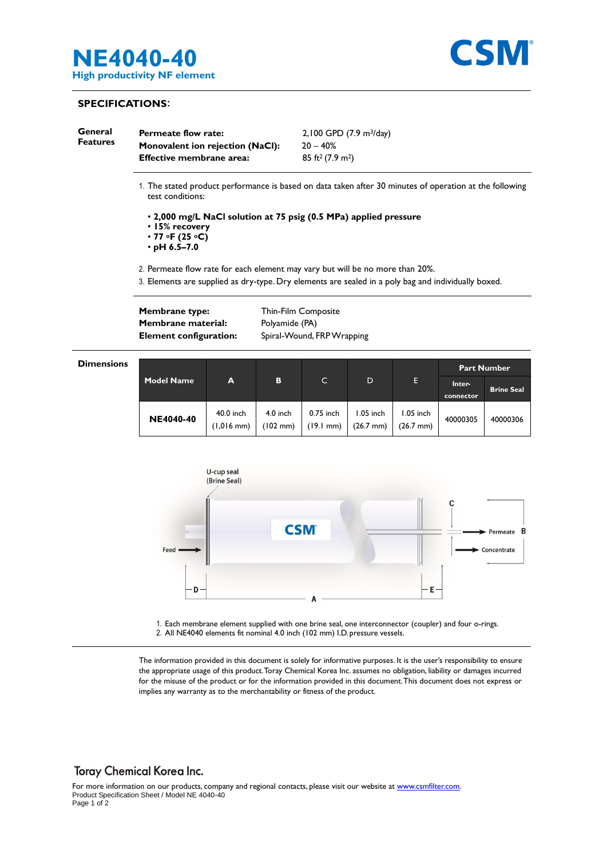



# **SPECIFICATIONS**:

| General<br><b>Features</b> | <b>Permeate flow rate:</b>              | 2,100 GPD (7.9 m <sup>3</sup> /day) |  |  |
|----------------------------|-----------------------------------------|-------------------------------------|--|--|
|                            | <b>Monovalent ion rejection (NaCl):</b> | $20 - 40\%$                         |  |  |
|                            | <b>Effective membrane area:</b>         | $85 \text{ ft}^2 (7.9 \text{ m}^2)$ |  |  |

1. The stated product performance is based on data taken after 30 minutes of operation at the following test conditions:

• **2,000 mg/L NaCl solution at 75 psig (0.5 MPa) applied pressure** 

- **15% recovery**
- **77 oF (25 oC)**

• **pH 6.5–7.0**

2. Permeate flow rate for each element may vary but will be no more than 20%.

3. Elements are supplied as dry-type. Dry elements are sealed in a poly bag and individually boxed.

**Membrane type:** Thin-Film Composite **Membrane material:** Polyamide (PA)

**Element configuration:** Spiral-Wound, FRP Wrapping

#### **Dimensions**

| <b>Model Name</b> | A                                 |                        | C                                | D                                  | Е                                | <b>Part Number</b>  |                   |
|-------------------|-----------------------------------|------------------------|----------------------------------|------------------------------------|----------------------------------|---------------------|-------------------|
|                   |                                   | в                      |                                  |                                    |                                  | Inter-<br>connector | <b>Brine Seal</b> |
| <b>NE4040-40</b>  | 40.0 inch<br>$(1,016 \text{ mm})$ | $4.0$ inch<br>(102 mm) | 0.75 inch<br>$(19.1 \text{ mm})$ | $1.05$ inch<br>$(26.7 \text{ mm})$ | 1.05 inch<br>$(26.7 \text{ mm})$ | 40000305            | 40000306          |



1. Each membrane element supplied with one brine seal, one interconnector (coupler) and four o-rings. 2. All NE4040 elements fit nominal 4.0 inch (102 mm) I.D. pressure vessels.

The information provided in this document is solely for informative purposes. It is the user's responsibility to ensure the appropriate usage of this product.Toray Chemical Korea Inc. assumes no obligation, liability or damages incurred for the misuse of the product or for the information provided in this document.This document does not express or implies any warranty as to the merchantability or fitness of the product.

# **Toray Chemical Korea Inc.**

For more information on our products, company and regional contacts, please visit our website at [www.csmfilter.com.](http://www.csmfilter.com/) Product Specification Sheet / Model NE 4040-40 Page 1 of 2